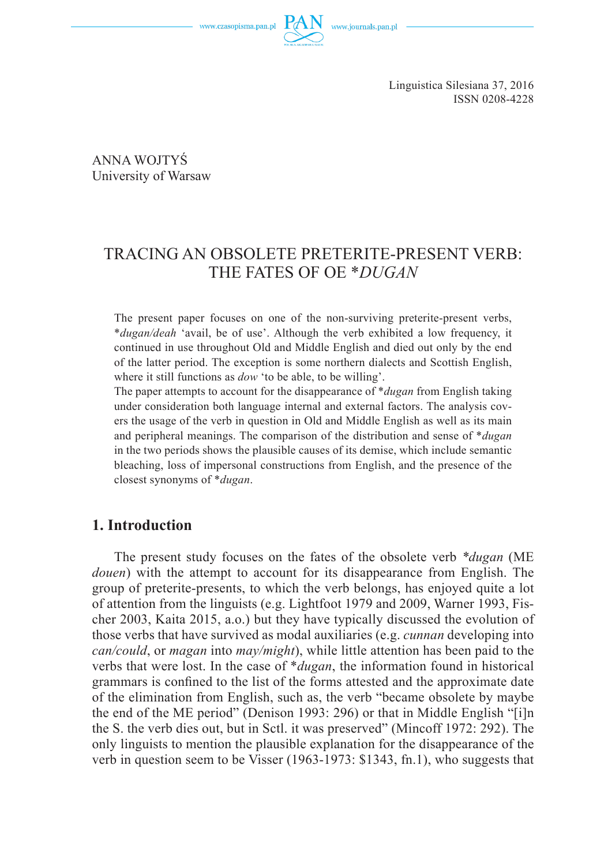www.czasopisma.pan.pl

Linguistica Silesiana 37, 2016 ISSN 0208-4228

ANNA WOJTYŚ University of Warsaw

# TRACING AN OBSOLETE PRETERITE-PRESENT VERB: THE FATES OF OE \**DUGAN*

The present paper focuses on one of the non-surviving preterite-present verbs, \**dugan/deah* 'avail, be of use'. Although the verb exhibited a low frequency, it continued in use throughout Old and Middle English and died out only by the end of the latter period. The exception is some northern dialects and Scottish English, where it still functions as *dow* 'to be able, to be willing'.

The paper attempts to account for the disappearance of \**dugan* from English taking under consideration both language internal and external factors. The analysis covers the usage of the verb in question in Old and Middle English as well as its main and peripheral meanings. The comparison of the distribution and sense of \**dugan*  in the two periods shows the plausible causes of its demise, which include semantic bleaching, loss of impersonal constructions from English, and the presence of the closest synonyms of \**dugan*.

## **1. Introduction**

The present study focuses on the fates of the obsolete verb *\*dugan* (ME *douen*) with the attempt to account for its disappearance from English. The group of preterite-presents, to which the verb belongs, has enjoyed quite a lot of attention from the linguists (e.g. Lightfoot 1979 and 2009, Warner 1993, Fischer 2003, Kaita 2015, a.o.) but they have typically discussed the evolution of those verbs that have survived as modal auxiliaries (e.g. *cunnan* developing into *can/could*, or *magan* into *may/might*), while little attention has been paid to the verbs that were lost. In the case of \**dugan*, the information found in historical grammars is confined to the list of the forms attested and the approximate date of the elimination from English, such as, the verb "became obsolete by maybe the end of the ME period" (Denison 1993: 296) or that in Middle English "[i]n the S. the verb dies out, but in Sctl. it was preserved" (Mincoff 1972: 292). The only linguists to mention the plausible explanation for the disappearance of the verb in question seem to be Visser (1963-1973: \$1343, fn.1), who suggests that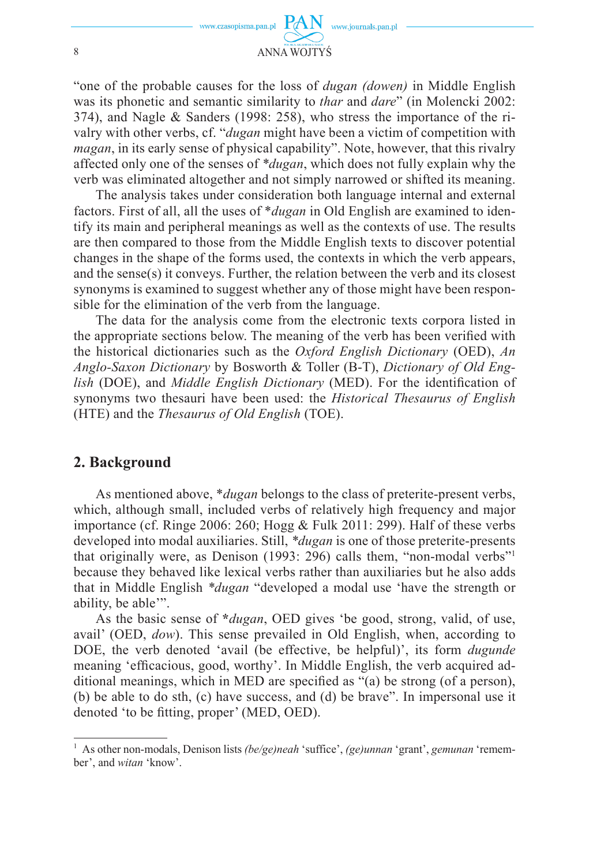

"one of the probable causes for the loss of *dugan (dowen)* in Middle English was its phonetic and semantic similarity to *thar* and *dare*" (in Molencki 2002: 374), and Nagle & Sanders (1998: 258), who stress the importance of the rivalry with other verbs, cf. "*dugan* might have been a victim of competition with *magan*, in its early sense of physical capability". Note, however, that this rivalry affected only one of the senses of *\*dugan*, which does not fully explain why the verb was eliminated altogether and not simply narrowed or shifted its meaning.

The analysis takes under consideration both language internal and external factors. First of all, all the uses of \**dugan* in Old English are examined to identify its main and peripheral meanings as well as the contexts of use. The results are then compared to those from the Middle English texts to discover potential changes in the shape of the forms used, the contexts in which the verb appears, and the sense(s) it conveys. Further, the relation between the verb and its closest synonyms is examined to suggest whether any of those might have been responsible for the elimination of the verb from the language.

The data for the analysis come from the electronic texts corpora listed in the appropriate sections below. The meaning of the verb has been verified with the historical dictionaries such as the *Oxford English Dictionary* (OED), *An Anglo-Saxon Dictionary* by Bosworth & Toller (B-T), *Dictionary of Old English* (DOE), and *Middle English Dictionary* (MED). For the identification of synonyms two thesauri have been used: the *Historical Thesaurus of English*  (HTE) and the *Thesaurus of Old English* (TOE).

## **2. Background**

As mentioned above, \**dugan* belongs to the class of preterite-present verbs, which, although small, included verbs of relatively high frequency and major importance (cf. Ringe 2006: 260; Hogg & Fulk 2011: 299). Half of these verbs developed into modal auxiliaries. Still, *\*dugan* is one of those preterite-presents that originally were, as Denison (1993: 296) calls them, "non-modal verbs"1 because they behaved like lexical verbs rather than auxiliaries but he also adds that in Middle English *\*dugan* "developed a modal use 'have the strength or ability, be able'".

As the basic sense of **\****dugan*, OED gives 'be good, strong, valid, of use, avail' (OED, *dow*). This sense prevailed in Old English, when, according to DOE, the verb denoted 'avail (be effective, be helpful)', its form *dugunde*  meaning 'efficacious, good, worthy'. In Middle English, the verb acquired additional meanings, which in MED are specified as " $(a)$  be strong (of a person), (b) be able to do sth, (c) have success, and (d) be brave". In impersonal use it denoted 'to be fitting, proper' (MED, OED).

<sup>1</sup> As other non-modals, Denison lists *(be/ge)neah* 'suffice', *(ge)unnan* 'grant', *gemunan* 'remember', and *witan* 'know'.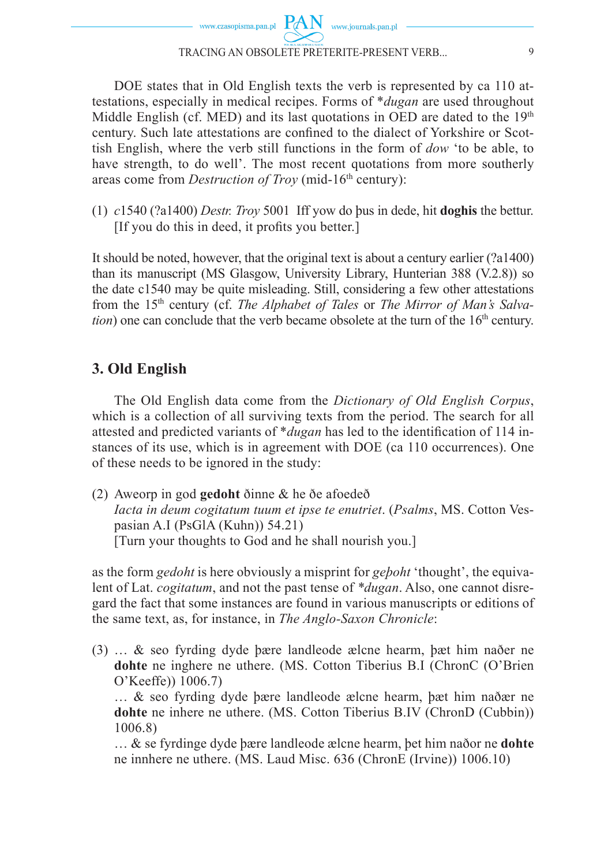DOE states that in Old English texts the verb is represented by ca 110 attestations, especially in medical recipes. Forms of \**dugan* are used throughout Middle English (cf. MED) and its last quotations in OED are dated to the  $19<sup>th</sup>$ century. Such late attestations are confined to the dialect of Yorkshire or Scottish English, where the verb still functions in the form of *dow* 'to be able, to have strength, to do well'. The most recent quotations from more southerly areas come from *Destruction of Troy* (mid-16<sup>th</sup> century):

(1) *c*1540 (?a1400) *Destr. Troy* 5001 Iff yow do þus in dede, hit **doghis** the bettur.  $[If you do this in deed, it profits you better.]$ 

It should be noted, however, that the original text is about a century earlier (?a1400) than its manuscript (MS Glasgow, University Library, Hunterian 388 (V.2.8)) so the date c1540 may be quite misleading. Still, considering a few other attestations from the 15th century (cf. *The Alphabet of Tales* or *The Mirror of Man's Salvation*) one can conclude that the verb became obsolete at the turn of the 16<sup>th</sup> century.

# **3. Old English**

The Old English data come from the *Dictionary of Old English Corpus*, which is a collection of all surviving texts from the period. The search for all attested and predicted variants of \**dugan* has led to the identification of 114 instances of its use, which is in agreement with DOE (ca 110 occurrences). One of these needs to be ignored in the study:

(2) Aweorp in god **gedoht** ðinne & he ðe afoedeð  *Iacta in deum cogitatum tuum et ipse te enutriet*. (*Psalms*, MS. Cotton Vespasian A.I (PsGlA (Kuhn)) 54.21) [Turn your thoughts to God and he shall nourish you.]

as the form *gedoht* is here obviously a misprint for *geþoht* 'thought', the equivalent of Lat. *cogitatum*, and not the past tense of *\*dugan*. Also, one cannot disregard the fact that some instances are found in various manuscripts or editions of the same text, as, for instance, in *The Anglo-Saxon Chronicle*:

(3) … & seo fyrding dyde þære landleode ælcne hearm, þæt him naðer ne **dohte** ne inghere ne uthere. (MS. Cotton Tiberius B.I (ChronC (O'Brien O'Keeffe)) 1006.7) … & seo fyrding dyde þære landleode ælcne hearm, þæt him naðær ne

**dohte** ne inhere ne uthere. (MS. Cotton Tiberius B.IV (ChronD (Cubbin)) 1006.8)

 … & se fyrdinge dyde þære landleode ælcne hearm, þet him naðor ne **dohte** ne innhere ne uthere. (MS. Laud Misc. 636 (ChronE (Irvine)) 1006.10)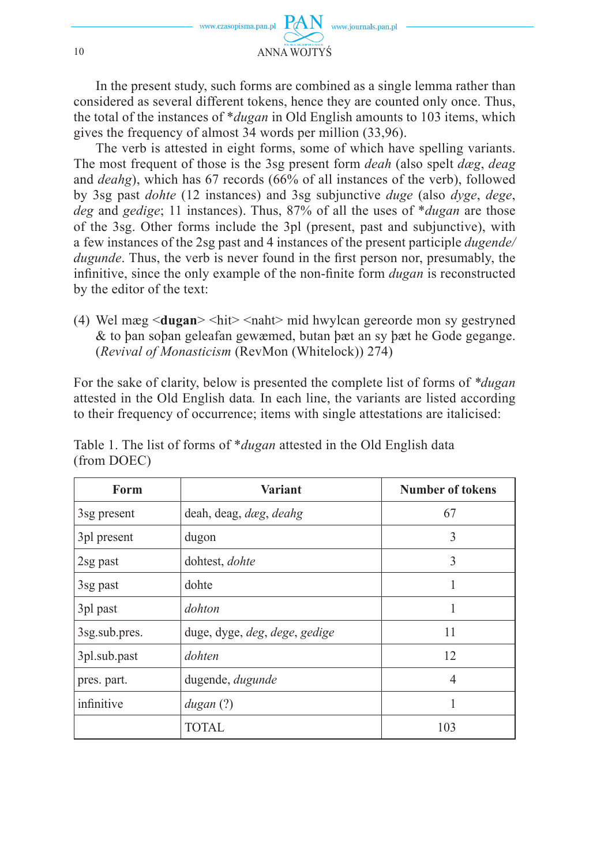

In the present study, such forms are combined as a single lemma rather than considered as several different tokens, hence they are counted only once. Thus, the total of the instances of \**dugan* in Old English amounts to 103 items, which gives the frequency of almost 34 words per million (33,96).

The verb is attested in eight forms, some of which have spelling variants. The most frequent of those is the 3sg present form *deah* (also spelt *dæg*, *deag*  and *deahg*), which has 67 records (66% of all instances of the verb), followed by 3sg past *dohte* (12 instances) and 3sg subjunctive *duge* (also *dyge*, *dege*, *deg* and *gedige*; 11 instances). Thus, 87% of all the uses of \**dugan* are those of the 3sg. Other forms include the 3pl (present, past and subjunctive), with a few instances of the 2sg past and 4 instances of the present participle *dugende/ dugunde*. Thus, the verb is never found in the first person nor, presumably, the infinitive, since the only example of the non-finite form *dugan* is reconstructed by the editor of the text:

(4) Wel mæg <**dugan**> <hit> <naht> mid hwylcan gereorde mon sy gestryned & to þan soþan geleafan gewæmed, butan þæt an sy þæt he Gode gegange. (*Revival of Monasticism* (RevMon (Whitelock)) 274)

For the sake of clarity, below is presented the complete list of forms of *\*dugan* attested in the Old English data*.* In each line, the variants are listed according to their frequency of occurrence; items with single attestations are italicised:

| Form          | <b>Variant</b>                | <b>Number of tokens</b> |  |
|---------------|-------------------------------|-------------------------|--|
| 3sg present   | deah, deag, dæg, deahg        | 67                      |  |
| 3pl present   | dugon                         | 3                       |  |
| 2sg past      | dohtest, dohte                | 3                       |  |
| 3sg past      | dohte                         |                         |  |
| 3pl past      | dohton                        |                         |  |
| 3sg.sub.pres. | duge, dyge, deg, dege, gedige | 11                      |  |
| 3pl.sub.past  | dohten                        | 12                      |  |
| pres. part.   | dugende, dugunde<br>4         |                         |  |
| infinitive    | dugan(?)                      |                         |  |
|               | TOTAL.                        | 103                     |  |

Table 1. The list of forms of \**dugan* attested in the Old English data (from DOEC)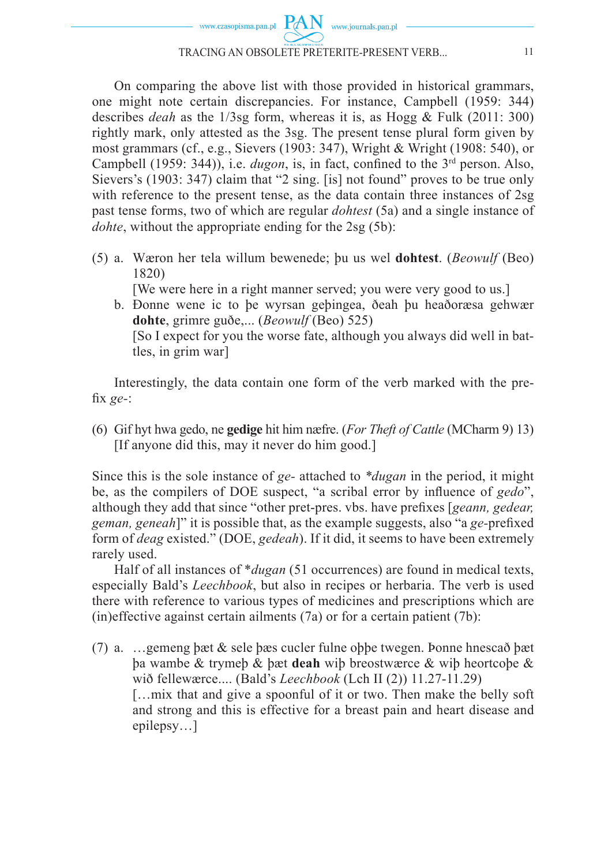

On comparing the above list with those provided in historical grammars, one might note certain discrepancies. For instance, Campbell (1959: 344) describes *deah* as the 1/3sg form, whereas it is, as Hogg & Fulk (2011: 300) rightly mark, only attested as the 3sg. The present tense plural form given by most grammars (cf., e.g., Sievers (1903: 347), Wright & Wright (1908: 540), or Campbell (1959: 344)), i.e. *dugon*, is, in fact, confined to the 3<sup>rd</sup> person. Also, Sievers's (1903: 347) claim that "2 sing. [is] not found" proves to be true only with reference to the present tense, as the data contain three instances of 2sg past tense forms, two of which are regular *dohtest* (5a) and a single instance of *dohte*, without the appropriate ending for the 2sg (5b):

(5) a. Wæron her tela willum bewenede; þu us wel **dohtest**. (*Beowulf* (Beo) 1820)

[We were here in a right manner served; you were very good to us.]

b. Ðonne wene ic to þe wyrsan geþingea, ðeah þu heaðoræsa gehwær **dohte**, grimre guðe,... (*Beowulf* (Beo) 525) [So I expect for you the worse fate, although you always did well in battles, in grim war]

Interestingly, the data contain one form of the verb marked with the prefix *ge*-:

(6) Gif hyt hwa gedo, ne **gedige** hit him næfre. (*For Theft of Cattle* (MCharm 9) 13) [If anyone did this, may it never do him good.]

Since this is the sole instance of *ge-* attached to *\*dugan* in the period, it might be, as the compilers of DOE suspect, "a scribal error by influence of *gedo*", although they add that since "other pret-pres. vbs. have prefi xes [*geann, gedear, geman, geneah*]" it is possible that, as the example suggests, also "a *ge*-prefixed form of *deag* existed." (DOE, *gedeah*). If it did, it seems to have been extremely rarely used.

Half of all instances of \**dugan* (51 occurrences) are found in medical texts, especially Bald's *Leechbook*, but also in recipes or herbaria. The verb is used there with reference to various types of medicines and prescriptions which are  $(in)$ effective against certain ailments  $(7a)$  or for a certain patient  $(7b)$ :

(7) a. …gemeng þæt & sele þæs cucler fulne oþþe twegen. Þonne hnescað þæt þa wambe & trymeþ & þæt **deah** wiþ breostwærce & wiþ heortcoþe & wið fellewærce.... (Bald's *Leechbook* (Lch II (2)) 11.27-11.29) […mix that and give a spoonful of it or two. Then make the belly soft and strong and this is effective for a breast pain and heart disease and epilepsy…]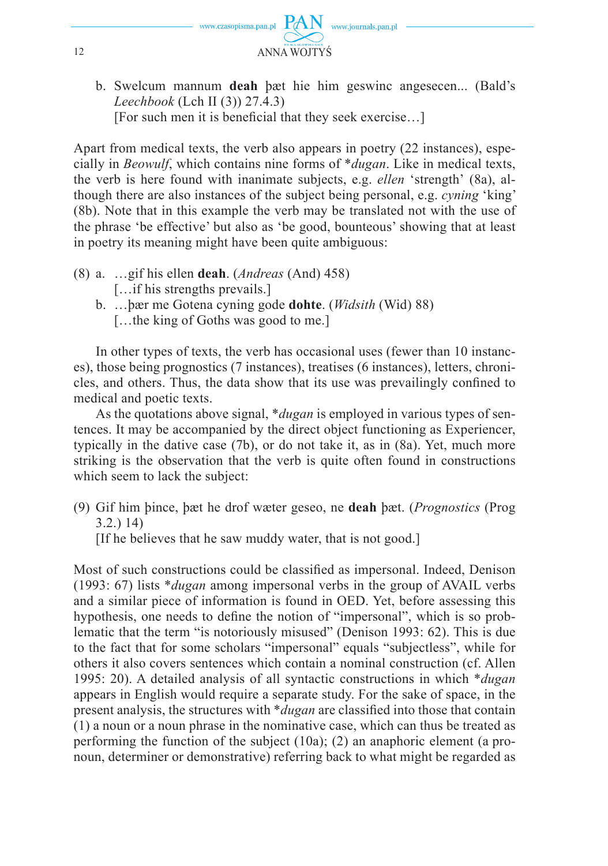

b. Swelcum mannum **deah** þæt hie him geswinc angesecen... (Bald's *Leechbook* (Lch II (3)) 27.4.3)

[For such men it is beneficial that they seek exercise...]

Apart from medical texts, the verb also appears in poetry (22 instances), especially in *Beowulf*, which contains nine forms of \**dugan*. Like in medical texts, the verb is here found with inanimate subjects, e.g. *ellen* 'strength' (8a), although there are also instances of the subject being personal, e.g. *cyning* 'king' (8b). Note that in this example the verb may be translated not with the use of the phrase 'be effective' but also as 'be good, bounteous' showing that at least in poetry its meaning might have been quite ambiguous:

- (8) a. …gif his ellen **deah**. (*Andreas* (And) 458) [...if his strengths prevails.]
	- b. …þær me Gotena cyning gode **dohte**. (*Widsith* (Wid) 88) [...the king of Goths was good to me.]

In other types of texts, the verb has occasional uses (fewer than 10 instances), those being prognostics (7 instances), treatises (6 instances), letters, chronicles, and others. Thus, the data show that its use was prevailingly confined to medical and poetic texts.

As the quotations above signal, \**dugan* is employed in various types of sentences. It may be accompanied by the direct object functioning as Experiencer, typically in the dative case (7b), or do not take it, as in (8a). Yet, much more striking is the observation that the verb is quite often found in constructions which seem to lack the subject:

(9) Gif him þince, þæt he drof wæter geseo, ne **deah** þæt. (*Prognostics* (Prog 3.2.) 14)

[If he believes that he saw muddy water, that is not good.]

Most of such constructions could be classified as impersonal. Indeed, Denison (1993: 67) lists \**dugan* among impersonal verbs in the group of AVAIL verbs and a similar piece of information is found in OED. Yet, before assessing this hypothesis, one needs to define the notion of "impersonal", which is so problematic that the term "is notoriously misused" (Denison 1993: 62). This is due to the fact that for some scholars "impersonal" equals "subjectless", while for others it also covers sentences which contain a nominal construction (cf. Allen 1995: 20). A detailed analysis of all syntactic constructions in which \**dugan*  appears in English would require a separate study. For the sake of space, in the present analysis, the structures with \**dugan* are classified into those that contain (1) a noun or a noun phrase in the nominative case, which can thus be treated as performing the function of the subject (10a); (2) an anaphoric element (a pronoun, determiner or demonstrative) referring back to what might be regarded as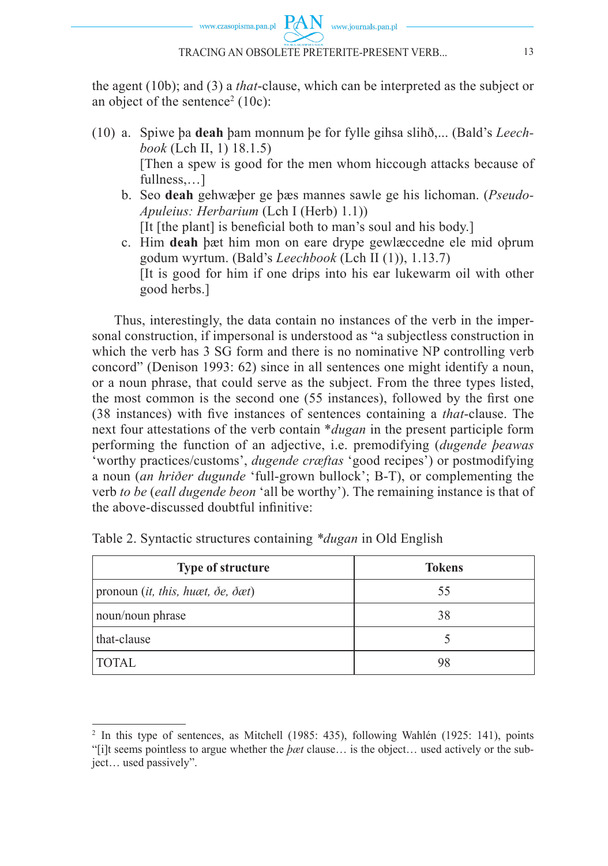the agent (10b); and (3) a *that*-clause, which can be interpreted as the subject or an object of the sentence<sup>2</sup> (10c):

- (10) a. Spiwe þa **deah** þam monnum þe for fylle gihsa slihð,... (Bald's *Leechbook* (Lch II, 1) 18.1.5) [Then a spew is good for the men whom hiccough attacks because of fullness....1
	- b. Seo **deah** gehwæþer ge þæs mannes sawle ge his lichoman. (*Pseudo-Apuleius: Herbarium* (Lch I (Herb) 1.1)) [It [the plant] is beneficial both to man's soul and his body.]
	- c. Him **deah** þæt him mon on eare drype gewlæccedne ele mid oþrum godum wyrtum. (Bald's *Leechbook* (Lch II (1)), 1.13.7) [It is good for him if one drips into his ear lukewarm oil with other good herbs.]

Thus, interestingly, the data contain no instances of the verb in the impersonal construction, if impersonal is understood as "a subjectless construction in which the verb has 3 SG form and there is no nominative NP controlling verb concord" (Denison 1993: 62) since in all sentences one might identify a noun, or a noun phrase, that could serve as the subject. From the three types listed, the most common is the second one (55 instances), followed by the first one (38 instances) with five instances of sentences containing a *that*-clause. The next four attestations of the verb contain \**dugan* in the present participle form performing the function of an adjective, i.e. premodifying (*dugende þeawas*  'worthy practices/customs', *dugende cræftas* 'good recipes') or postmodifying a noun (*an hriðer dugunde* 'full-grown bullock'; B-T), or complementing the verb *to be* (*eall dugende beon* 'all be worthy'). The remaining instance is that of the above-discussed doubtful infinitive:

| Type of structure                                         | <b>Tokens</b> |  |
|-----------------------------------------------------------|---------------|--|
| pronoun (it, this, huæt, $\delta e$ , $\delta \alpha t$ ) | 55            |  |
| noun/noun phrase                                          | 38            |  |
| that-clause                                               |               |  |
| <b>TOTAL</b>                                              |               |  |

Table 2. Syntactic structures containing *\*dugan* in Old English

<sup>&</sup>lt;sup>2</sup> In this type of sentences, as Mitchell (1985: 435), following Wahlén (1925: 141), points "[i]t seems pointless to argue whether the *þæt* clause… is the object… used actively or the subject… used passively".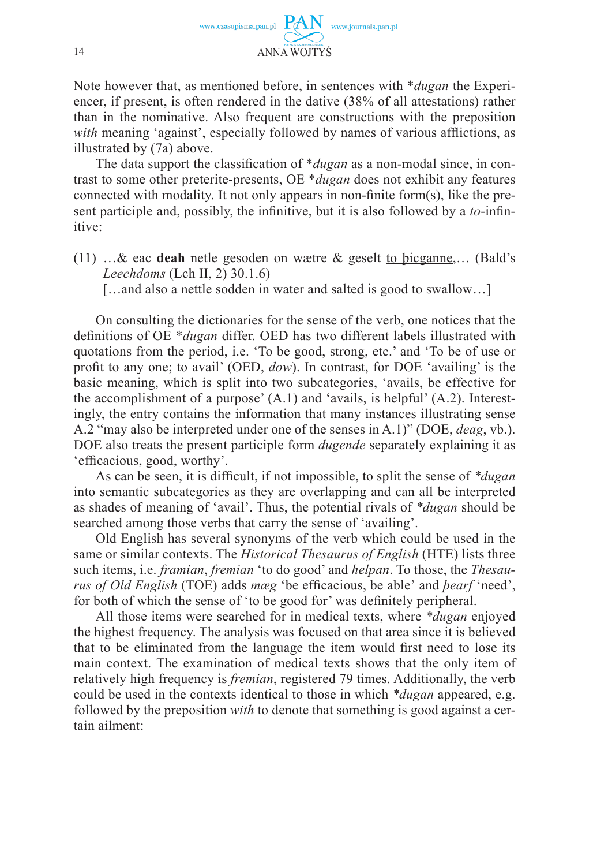

Note however that, as mentioned before, in sentences with \**dugan* the Experiencer, if present, is often rendered in the dative (38% of all attestations) rather than in the nominative. Also frequent are constructions with the preposition *with* meaning 'against', especially followed by names of various afflictions, as illustrated by (7a) above.

The data support the classification of *\*dugan* as a non-modal since, in contrast to some other preterite-presents, OE \**dugan* does not exhibit any features connected with modality. It not only appears in non-finite form(s), like the present participle and, possibly, the infinitive, but it is also followed by a *to*-infinitive:

(11) …& eac **deah** netle gesoden on wætre & geselt to þicganne,… (Bald's *Leechdoms* (Lch II, 2) 30.1.6)

[...and also a nettle sodden in water and salted is good to swallow...]

On consulting the dictionaries for the sense of the verb, one notices that the definitions of OE \**dugan* differ. OED has two different labels illustrated with quotations from the period, i.e. 'To be good, strong, etc.' and 'To be of use or profit to any one; to avail' (OED, *dow*). In contrast, for DOE 'availing' is the basic meaning, which is split into two subcategories, 'avails, be effective for the accomplishment of a purpose' (A.1) and 'avails, is helpful' (A.2). Interestingly, the entry contains the information that many instances illustrating sense A.2 "may also be interpreted under one of the senses in A.1)" (DOE, *deag*, vb.). DOE also treats the present participle form *dugende* separately explaining it as 'efficacious, good, worthy'.

As can be seen, it is difficult, if not impossible, to split the sense of *\*dugan* into semantic subcategories as they are overlapping and can all be interpreted as shades of meaning of 'avail'. Thus, the potential rivals of *\*dugan* should be searched among those verbs that carry the sense of 'availing'.

Old English has several synonyms of the verb which could be used in the same or similar contexts. The *Historical Thesaurus of English* (HTE) lists three such items, i.e. *framian*, *fremian* 'to do good' and *helpan*. To those, the *Thesaurus of Old English* (TOE) adds *mæg* 'be efficacious, be able' and *bearf* 'need', for both of which the sense of 'to be good for' was definitely peripheral.

All those items were searched for in medical texts, where *\*dugan* enjoyed the highest frequency. The analysis was focused on that area since it is believed that to be eliminated from the language the item would first need to lose its main context. The examination of medical texts shows that the only item of relatively high frequency is *fremian*, registered 79 times. Additionally, the verb could be used in the contexts identical to those in which *\*dugan* appeared, e.g. followed by the preposition *with* to denote that something is good against a certain ailment: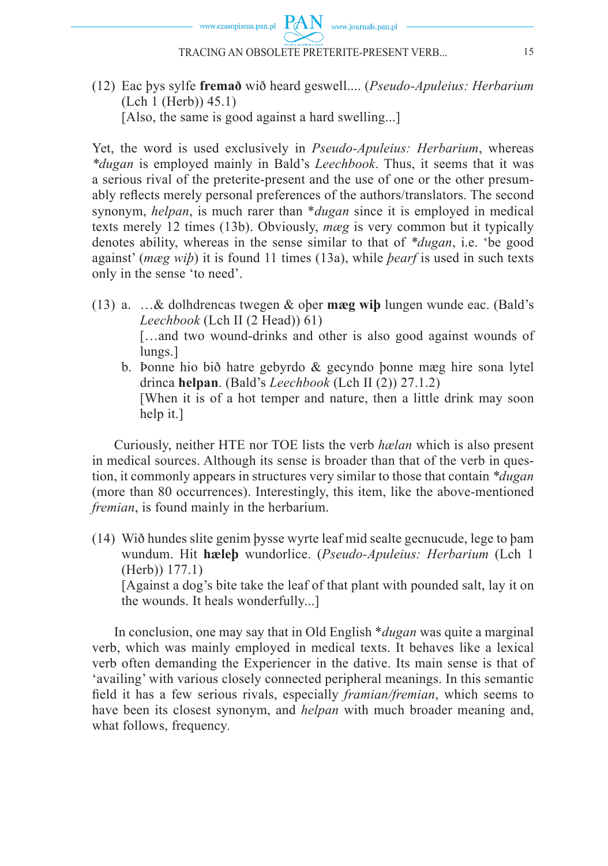

(12) Eac þys sylfe **fremað** wið heard geswell.... (*Pseudo-Apuleius: Herbarium* (Lch 1 (Herb)) 45.1) [Also, the same is good against a hard swelling...]

Yet, the word is used exclusively in *Pseudo-Apuleius: Herbarium*, whereas *\*dugan* is employed mainly in Bald's *Leechbook*. Thus, it seems that it was a serious rival of the preterite-present and the use of one or the other presumably reflects merely personal preferences of the authors/translators. The second synonym, *helpan*, is much rarer than \**dugan* since it is employed in medical texts merely 12 times (13b). Obviously, *mæg* is very common but it typically denotes ability, whereas in the sense similar to that of *\*dugan*, i.e. 'be good against' (*mæg wiþ*) it is found 11 times (13a), while *þearf* is used in such texts only in the sense 'to need'.

- (13) a. …& dolhdrencas twegen & oþer **mæg wiþ** lungen wunde eac. (Bald's *Leechbook* (Lch II (2 Head)) 61) [...and two wound-drinks and other is also good against wounds of lungs.]
	- b. Þonne hio bið hatre gebyrdo & gecyndo þonne mæg hire sona lytel drinca **helpan**. (Bald's *Leechbook* (Lch II (2)) 27.1.2) [When it is of a hot temper and nature, then a little drink may soon help it.]

Curiously, neither HTE nor TOE lists the verb *hælan* which is also present in medical sources. Although its sense is broader than that of the verb in question, it commonly appears in structures very similar to those that contain *\*dugan*  (more than 80 occurrences). Interestingly, this item, like the above-mentioned *fremian*, is found mainly in the herbarium.

(14) Wið hundes slite genim þysse wyrte leaf mid sealte gecnucude, lege to þam wundum. Hit **hæleþ** wundorlice. (*Pseudo-Apuleius: Herbarium* (Lch 1 (Herb)) 177.1)

 [Against a dog's bite take the leaf of that plant with pounded salt, lay it on the wounds. It heals wonderfully...]

In conclusion, one may say that in Old English \**dugan* was quite a marginal verb, which was mainly employed in medical texts. It behaves like a lexical verb often demanding the Experiencer in the dative. Its main sense is that of 'availing' with various closely connected peripheral meanings. In this semantic field it has a few serious rivals, especially *framian/fremian*, which seems to have been its closest synonym, and *helpan* with much broader meaning and, what follows, frequency*.*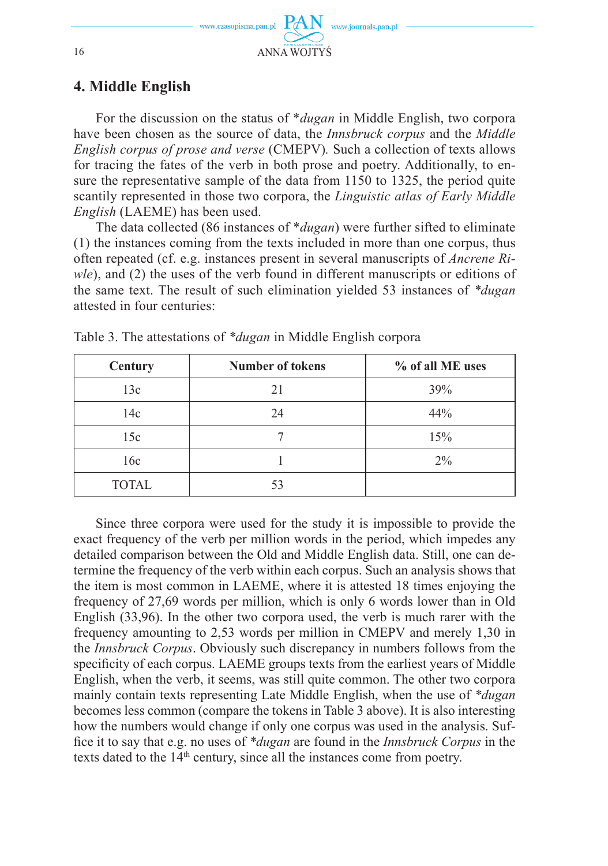

## **4. Middle English**

For the discussion on the status of \**dugan* in Middle English, two corpora have been chosen as the source of data, the *Innsbruck corpus* and the *Middle English corpus of prose and verse* (CMEPV)*.* Such a collection of texts allows for tracing the fates of the verb in both prose and poetry. Additionally, to ensure the representative sample of the data from 1150 to 1325, the period quite scantily represented in those two corpora, the *Linguistic atlas of Early Middle English* (LAEME) has been used.

The data collected (86 instances of \**dugan*) were further sifted to eliminate (1) the instances coming from the texts included in more than one corpus, thus often repeated (cf. e.g. instances present in several manuscripts of *Ancrene Riwle*), and (2) the uses of the verb found in different manuscripts or editions of the same text. The result of such elimination yielded 53 instances of *\*dugan*  attested in four centuries:

| Century      | <b>Number of tokens</b> | % of all ME uses |  |
|--------------|-------------------------|------------------|--|
| 13c          | 21                      | 39%              |  |
| 14c          | 24                      | 44%              |  |
| 15c          |                         | 15%              |  |
| 16c          |                         | $2\%$            |  |
| <b>TOTAL</b> | 53                      |                  |  |

Table 3. The attestations of *\*dugan* in Middle English corpora

Since three corpora were used for the study it is impossible to provide the exact frequency of the verb per million words in the period, which impedes any detailed comparison between the Old and Middle English data. Still, one can determine the frequency of the verb within each corpus. Such an analysis shows that the item is most common in LAEME, where it is attested 18 times enjoying the frequency of 27,69 words per million, which is only 6 words lower than in Old English (33,96). In the other two corpora used, the verb is much rarer with the frequency amounting to 2,53 words per million in CMEPV and merely 1,30 in the *Innsbruck Corpus*. Obviously such discrepancy in numbers follows from the specificity of each corpus. LAEME groups texts from the earliest years of Middle English, when the verb, it seems, was still quite common. The other two corpora mainly contain texts representing Late Middle English, when the use of *\*dugan*  becomes less common (compare the tokens in Table 3 above). It is also interesting how the numbers would change if only one corpus was used in the analysis. Suffi ce it to say that e.g. no uses of *\*dugan* are found in the *Innsbruck Corpus* in the texts dated to the  $14<sup>th</sup>$  century, since all the instances come from poetry.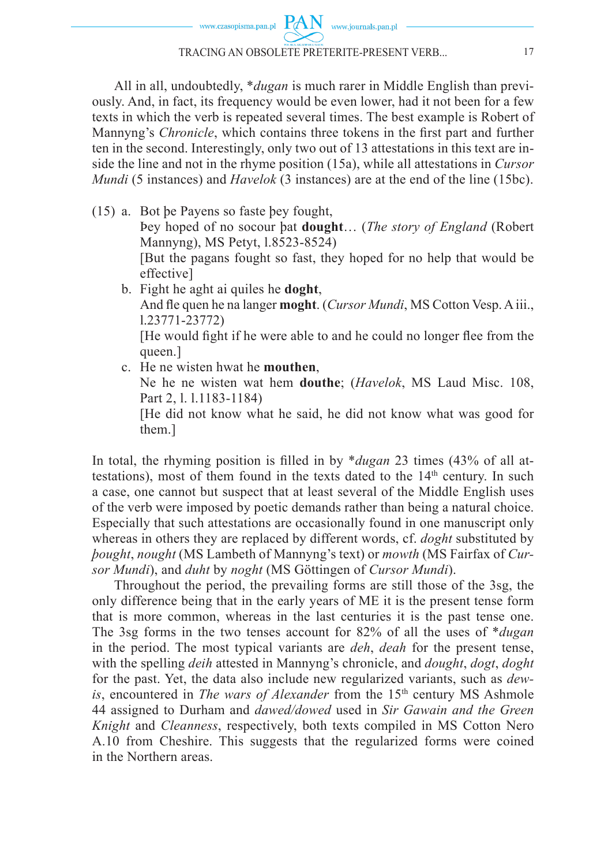All in all, undoubtedly, \**dugan* is much rarer in Middle English than previously. And, in fact, its frequency would be even lower, had it not been for a few texts in which the verb is repeated several times. The best example is Robert of Mannyng's *Chronicle*, which contains three tokens in the first part and further ten in the second. Interestingly, only two out of 13 attestations in this text are inside the line and not in the rhyme position (15a), while all attestations in *Cursor Mundi* (5 instances) and *Havelok* (3 instances) are at the end of the line (15bc).

- (15) a. Bot þe Payens so faste þey fought, Þey hoped of no socour þat **dought**… (*The story of England* (Robert Mannyng), MS Petyt, l.8523-8524) [But the pagans fought so fast, they hoped for no help that would be effective] b. Fight he aght ai quiles he **doght**,
	- And fle quen he na langer **moght**. (*Cursor Mundi*, MS Cotton Vesp. A iii., l.23771-23772) [He would fight if he were able to and he could no longer flee from the queen.]
	- c. He ne wisten hwat he **mouthen**,

 Ne he ne wisten wat hem **douthe**; (*Havelok*, MS Laud Misc. 108, Part 2, l. l.1183-1184)

 [He did not know what he said, he did not know what was good for them.]

In total, the rhyming position is filled in by \**dugan* 23 times (43% of all attestations), most of them found in the texts dated to the  $14<sup>th</sup>$  century. In such a case, one cannot but suspect that at least several of the Middle English uses of the verb were imposed by poetic demands rather than being a natural choice. Especially that such attestations are occasionally found in one manuscript only whereas in others they are replaced by different words, cf. *doght* substituted by *þought*, *nought* (MS Lambeth of Mannyng's text) or *mowth* (MS Fairfax of *Cursor Mundi*), and *duht* by *noght* (MS Göttingen of *Cursor Mundi*).

Throughout the period, the prevailing forms are still those of the 3sg, the only difference being that in the early years of ME it is the present tense form that is more common, whereas in the last centuries it is the past tense one. The 3sg forms in the two tenses account for 82% of all the uses of \**dugan*  in the period. The most typical variants are *deh*, *deah* for the present tense, with the spelling *deih* attested in Mannyng's chronicle, and *dought*, *dogt*, *doght*  for the past. Yet, the data also include new regularized variants, such as *dewis*, encountered in *The wars of Alexander* from the 15<sup>th</sup> century MS Ashmole 44 assigned to Durham and *dawed/dowed* used in *Sir Gawain and the Green Knight* and *Cleanness*, respectively, both texts compiled in MS Cotton Nero A.10 from Cheshire. This suggests that the regularized forms were coined in the Northern areas.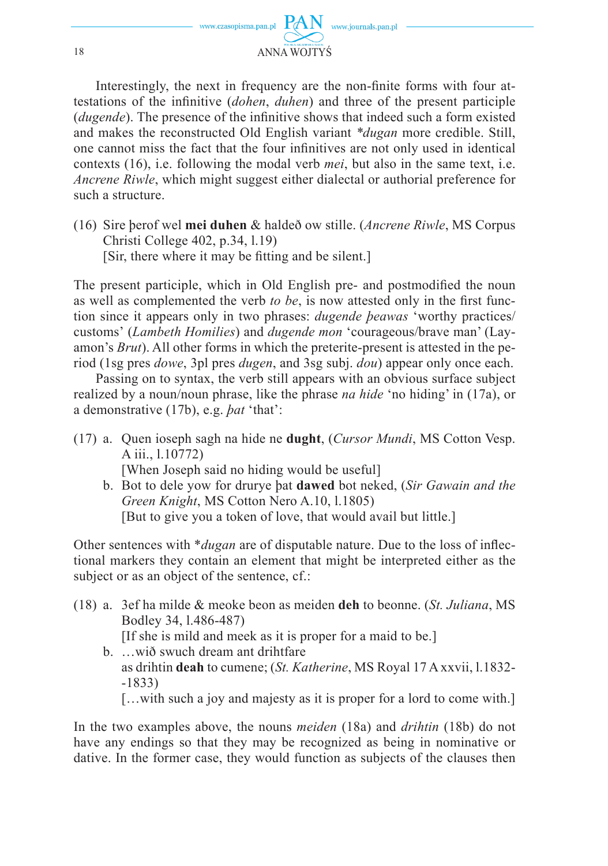

Interestingly, the next in frequency are the non-finite forms with four attestations of the infinitive (*dohen*, *duhen*) and three of the present participle (*dugende*). The presence of the infinitive shows that indeed such a form existed and makes the reconstructed Old English variant *\*dugan* more credible. Still, one cannot miss the fact that the four infinitives are not only used in identical contexts (16), i.e. following the modal verb *mei*, but also in the same text, i.e. *Ancrene Riwle*, which might suggest either dialectal or authorial preference for such a structure.

(16) Sire þerof wel **mei duhen** & haldeð ow stille. (*Ancrene Riwle*, MS Corpus Christi College 402, p.34, l.19) [Sir, there where it may be fitting and be silent.]

The present participle, which in Old English pre- and postmodified the noun as well as complemented the verb *to be*, is now attested only in the first function since it appears only in two phrases: *dugende þeawas* 'worthy practices/ customs' (*Lambeth Homilies*) and *dugende mon* 'courageous/brave man' (Layamon's *Brut*). All other forms in which the preterite-present is attested in the period (1sg pres *dowe*, 3pl pres *dugen*, and 3sg subj. *dou*) appear only once each.

Passing on to syntax, the verb still appears with an obvious surface subject realized by a noun/noun phrase, like the phrase *na hide* 'no hiding' in (17a), or a demonstrative (17b), e.g. *þat* 'that':

- (17) a. Quen ioseph sagh na hide ne **dught**, (*Cursor Mundi*, MS Cotton Vesp. A iii., l.10772) [When Joseph said no hiding would be useful]
	- b. Bot to dele yow for drurye þat **dawed** bot neked, (*Sir Gawain and the Green Knight*, MS Cotton Nero A.10, l.1805) [But to give you a token of love, that would avail but little.]

Other sentences with *\*dugan* are of disputable nature. Due to the loss of inflectional markers they contain an element that might be interpreted either as the subject or as an object of the sentence, cf.:

- (18) a. 3ef ha milde & meoke beon as meiden **deh** to beonne. (*St. Juliana*, MS Bodley 34, l.486-487) [If she is mild and meek as it is proper for a maid to be.]
	- b. …wið swuch dream ant drihtfare as drihtin **deah** to cumene; (*St. Katherine*, MS Royal 17 A xxvii, l.1832- -1833)

[...with such a joy and majesty as it is proper for a lord to come with.]

In the two examples above, the nouns *meiden* (18a) and *drihtin* (18b) do not have any endings so that they may be recognized as being in nominative or dative. In the former case, they would function as subjects of the clauses then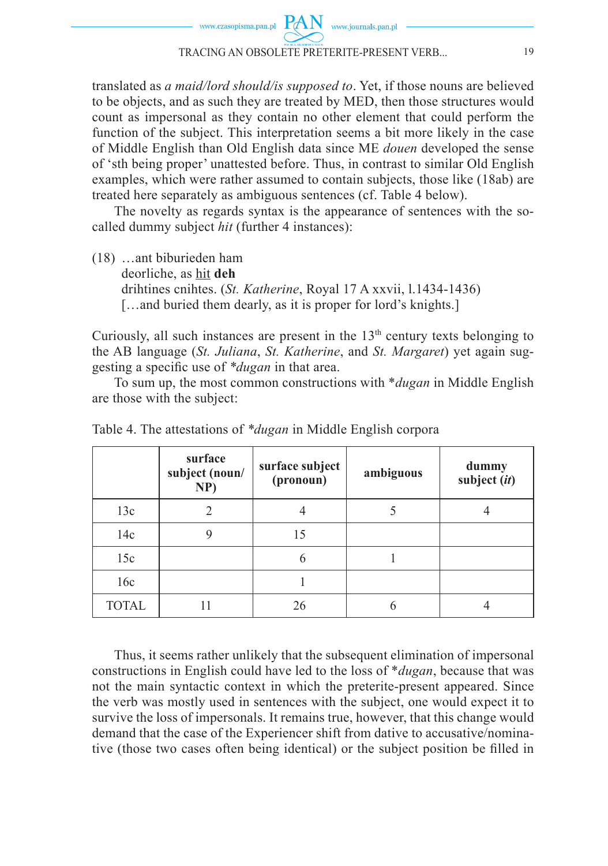

translated as *a maid/lord should/is supposed to*. Yet, if those nouns are believed to be objects, and as such they are treated by MED, then those structures would count as impersonal as they contain no other element that could perform the function of the subject. This interpretation seems a bit more likely in the case of Middle English than Old English data since ME *douen* developed the sense of 'sth being proper' unattested before. Thus, in contrast to similar Old English examples, which were rather assumed to contain subjects, those like (18ab) are treated here separately as ambiguous sentences (cf. Table 4 below).

The novelty as regards syntax is the appearance of sentences with the socalled dummy subject *hit* (further 4 instances):

(18) …ant biburieden ham deorliche, as hit **deh** drihtines cnihtes. (*St. Katherine*, Royal 17 A xxvii, l.1434-1436) [...and buried them dearly, as it is proper for lord's knights.]

Curiously, all such instances are present in the 13<sup>th</sup> century texts belonging to the AB language (*St. Juliana*, *St. Katherine*, and *St. Margaret*) yet again suggesting a specific use of *\*dugan* in that area.

To sum up, the most common constructions with \**dugan* in Middle English are those with the subject:

|              | surface<br>subject (noun/<br>NP) | surface subject<br>(pronoun) | ambiguous | dummy<br>subject (it) |
|--------------|----------------------------------|------------------------------|-----------|-----------------------|
| 13c          | $\mathfrak{D}$                   |                              |           |                       |
| 14c          |                                  | 15                           |           |                       |
| 15c          |                                  | 6                            |           |                       |
| 16c          |                                  |                              |           |                       |
| <b>TOTAL</b> |                                  | 26                           |           |                       |

Table 4. The attestations of *\*dugan* in Middle English corpora

Thus, it seems rather unlikely that the subsequent elimination of impersonal constructions in English could have led to the loss of \**dugan*, because that was not the main syntactic context in which the preterite-present appeared. Since the verb was mostly used in sentences with the subject, one would expect it to survive the loss of impersonals. It remains true, however, that this change would demand that the case of the Experiencer shift from dative to accusative/nominative (those two cases often being identical) or the subject position be filled in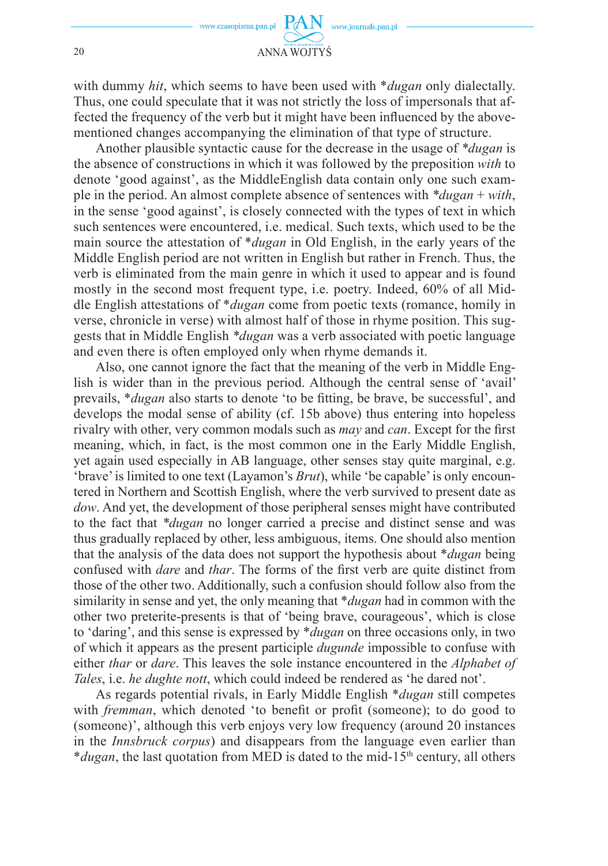with dummy *hit*, which seems to have been used with \**dugan* only dialectally. Thus, one could speculate that it was not strictly the loss of impersonals that affected the frequency of the verb but it might have been influenced by the abovementioned changes accompanying the elimination of that type of structure.

Another plausible syntactic cause for the decrease in the usage of *\*dugan* is the absence of constructions in which it was followed by the preposition *with* to denote 'good against', as the MiddleEnglish data contain only one such example in the period. An almost complete absence of sentences with *\*dugan* + *with*, in the sense 'good against', is closely connected with the types of text in which such sentences were encountered, i.e. medical. Such texts, which used to be the main source the attestation of \**dugan* in Old English, in the early years of the Middle English period are not written in English but rather in French. Thus, the verb is eliminated from the main genre in which it used to appear and is found mostly in the second most frequent type, i.e. poetry. Indeed, 60% of all Middle English attestations of \**dugan* come from poetic texts (romance, homily in verse, chronicle in verse) with almost half of those in rhyme position. This suggests that in Middle English *\*dugan* was a verb associated with poetic language and even there is often employed only when rhyme demands it.

Also, one cannot ignore the fact that the meaning of the verb in Middle English is wider than in the previous period. Although the central sense of 'avail' prevails, *\*dugan* also starts to denote 'to be fitting, be brave, be successful', and develops the modal sense of ability (cf. 15b above) thus entering into hopeless rivalry with other, very common modals such as *may* and *can*. Except for the first meaning, which, in fact, is the most common one in the Early Middle English, yet again used especially in AB language, other senses stay quite marginal, e.g. 'brave' is limited to one text (Layamon's *Brut*), while 'be capable' is only encountered in Northern and Scottish English, where the verb survived to present date as *dow*. And yet, the development of those peripheral senses might have contributed to the fact that *\*dugan* no longer carried a precise and distinct sense and was thus gradually replaced by other, less ambiguous, items. One should also mention that the analysis of the data does not support the hypothesis about \**dugan* being confused with *dare* and *thar*. The forms of the first verb are quite distinct from those of the other two. Additionally, such a confusion should follow also from the similarity in sense and yet, the only meaning that \**dugan* had in common with the other two preterite-presents is that of 'being brave, courageous', which is close to 'daring', and this sense is expressed by \**dugan* on three occasions only, in two of which it appears as the present participle *dugunde* impossible to confuse with either *thar* or *dare*. This leaves the sole instance encountered in the *Alphabet of Tales*, i.e. *he dughte nott*, which could indeed be rendered as 'he dared not'.

As regards potential rivals, in Early Middle English \**dugan* still competes with *fremman*, which denoted 'to benefit or profit (someone); to do good to (someone)', although this verb enjoys very low frequency (around 20 instances in the *Innsbruck corpus*) and disappears from the language even earlier than \**dugan*, the last quotation from MED is dated to the mid-15<sup>th</sup> century, all others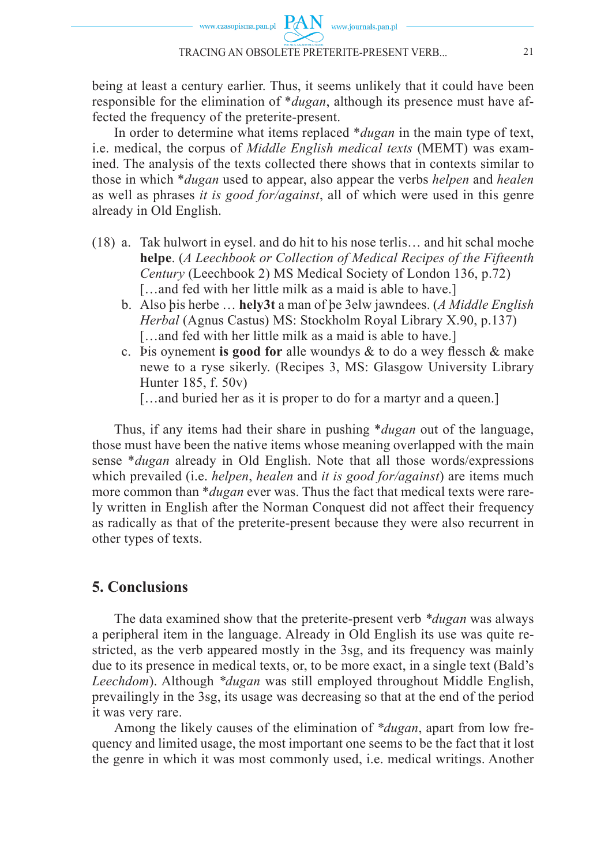being at least a century earlier. Thus, it seems unlikely that it could have been responsible for the elimination of \**dugan*, although its presence must have affected the frequency of the preterite-present.

In order to determine what items replaced \**dugan* in the main type of text, i.e. medical, the corpus of *Middle English medical texts* (MEMT) was examined. The analysis of the texts collected there shows that in contexts similar to those in which \**dugan* used to appear, also appear the verbs *helpen* and *healen*  as well as phrases *it is good for/against*, all of which were used in this genre already in Old English.

- (18) a. Tak hulwort in eysel. and do hit to his nose terlis… and hit schal moche **helpe**. (*A Leechbook or Collection of Medical Recipes of the Fifteenth Century* (Leechbook 2) MS Medical Society of London 136, p.72) [...and fed with her little milk as a maid is able to have.]
	- b. Also þis herbe … **hely3t** a man of þe 3elw jawndees. (*A Middle English Herbal* (Agnus Castus) MS: Stockholm Royal Library X.90, p.137) [...and fed with her little milk as a maid is able to have.]
	- c. Þis oynement **is good for** alle woundys & to do a wey flessch & make newe to a ryse sikerly. (Recipes 3, MS: Glasgow University Library Hunter 185, f. 50v)
		- [...and buried her as it is proper to do for a martyr and a queen.]

Thus, if any items had their share in pushing \**dugan* out of the language, those must have been the native items whose meaning overlapped with the main sense \**dugan* already in Old English. Note that all those words/expressions which prevailed (i.e. *helpen*, *healen* and *it is good for/against*) are items much more common than *\*dugan* ever was. Thus the fact that medical texts were rarely written in English after the Norman Conquest did not affect their frequency as radically as that of the preterite-present because they were also recurrent in other types of texts.

## **5. Conclusions**

The data examined show that the preterite-present verb *\*dugan* was always a peripheral item in the language. Already in Old English its use was quite restricted, as the verb appeared mostly in the 3sg, and its frequency was mainly due to its presence in medical texts, or, to be more exact, in a single text (Bald's *Leechdom*). Although *\*dugan* was still employed throughout Middle English, prevailingly in the 3sg, its usage was decreasing so that at the end of the period it was very rare.

Among the likely causes of the elimination of *\*dugan*, apart from low frequency and limited usage, the most important one seems to be the fact that it lost the genre in which it was most commonly used, i.e. medical writings. Another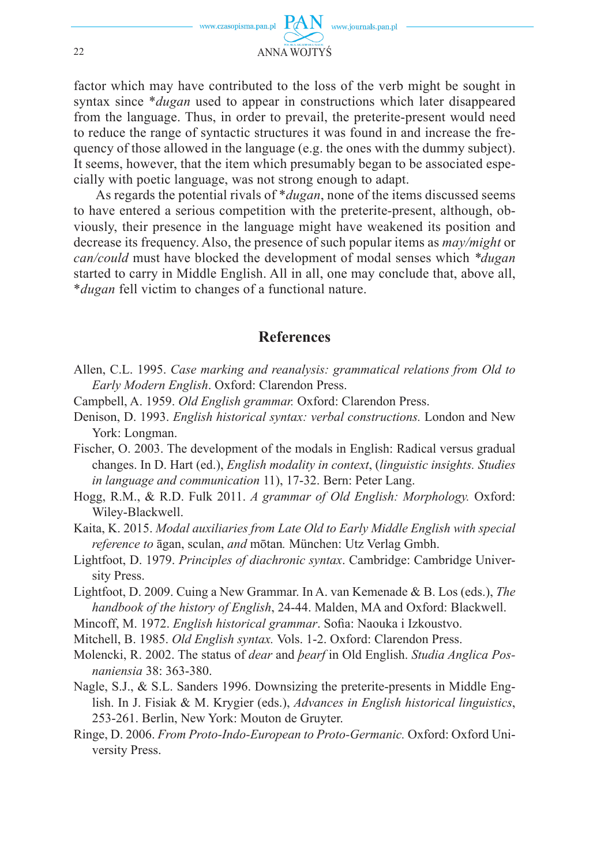

factor which may have contributed to the loss of the verb might be sought in syntax since \**dugan* used to appear in constructions which later disappeared from the language. Thus, in order to prevail, the preterite-present would need to reduce the range of syntactic structures it was found in and increase the frequency of those allowed in the language (e.g. the ones with the dummy subject). It seems, however, that the item which presumably began to be associated especially with poetic language, was not strong enough to adapt.

As regards the potential rivals of \**dugan*, none of the items discussed seems to have entered a serious competition with the preterite-present, although, obviously, their presence in the language might have weakened its position and decrease its frequency. Also, the presence of such popular items as *may/might* or *can/could* must have blocked the development of modal senses which *\*dugan*  started to carry in Middle English. All in all, one may conclude that, above all, \**dugan* fell victim to changes of a functional nature.

## **References**

- Allen, C.L. 1995. *Case marking and reanalysis: grammatical relations from Old to Early Modern English*. Oxford: Clarendon Press.
- Campbell, A. 1959. *Old English grammar.* Oxford: Clarendon Press.
- Denison, D. 1993. *English historical syntax: verbal constructions.* London and New York: Longman.
- Fischer, O. 2003. The development of the modals in English: Radical versus gradual changes. In D. Hart (ed.), *English modality in context*, (*linguistic insights. Studies in language and communication* 11), 17-32. Bern: Peter Lang.
- Hogg, R.M., & R.D. Fulk 2011. *A grammar of Old English: Morphology.* Oxford: Wiley-Blackwell.
- Kaita, K. 2015. *Modal auxiliaries from Late Old to Early Middle English with special reference to* āgan, sculan, *and* mōtan*.* München: Utz Verlag Gmbh.
- Lightfoot, D. 1979. *Principles of diachronic syntax*. Cambridge: Cambridge University Press.
- Lightfoot, D. 2009. Cuing a New Grammar. In A. van Kemenade & B. Los (eds.), *The handbook of the history of English*, 24-44. Malden, MA and Oxford: Blackwell.
- Mincoff, M. 1972. *English historical grammar*. Sofia: Naouka i Izkoustvo.
- Mitchell, B. 1985. *Old English syntax.* Vols. 1-2. Oxford: Clarendon Press.
- Molencki, R. 2002. The status of *dear* and *þearf* in Old English. *Studia Anglica Posnaniensia* 38: 363-380.
- Nagle, S.J., & S.L. Sanders 1996. Downsizing the preterite-presents in Middle English. In J. Fisiak & M. Krygier (eds.), *Advances in English historical linguistics*, 253-261. Berlin, New York: Mouton de Gruyter.
- Ringe, D. 2006. *From Proto-Indo-European to Proto-Germanic.* Oxford: Oxford University Press.